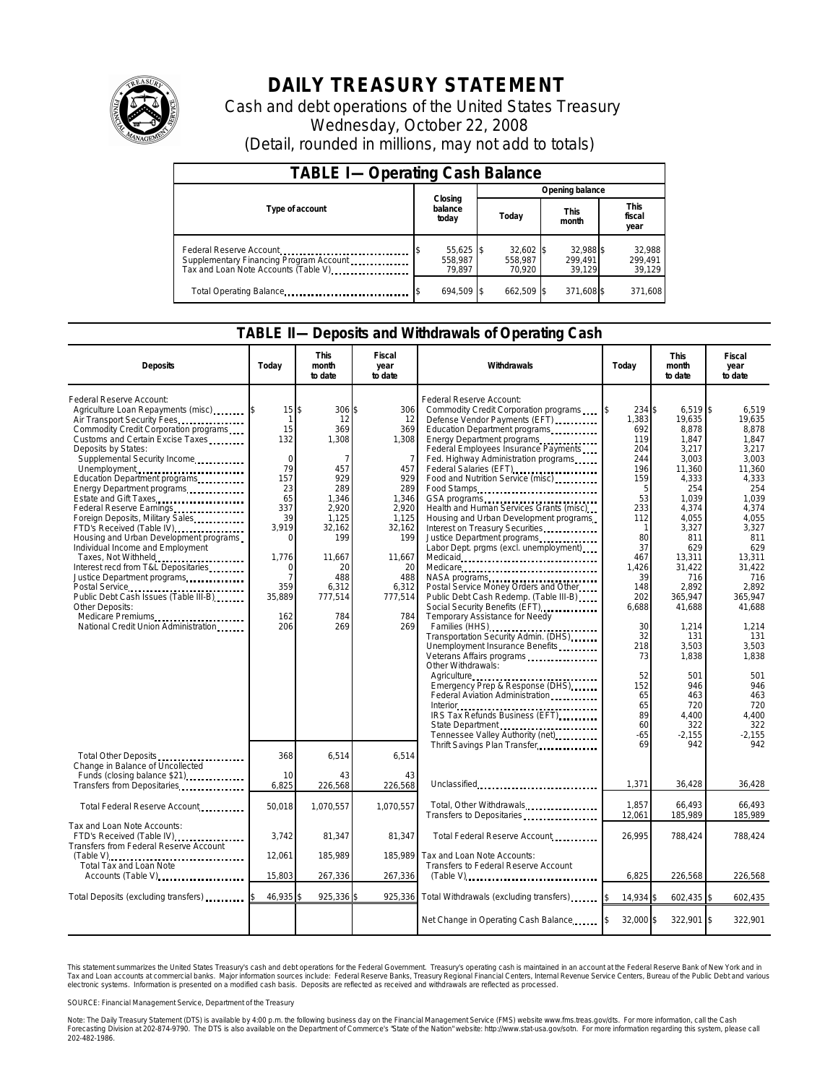

## **DAILY TREASURY STATEMENT**

Cash and debt operations of the United States Treasury Wednesday, October 22, 2008 (Detail, rounded in millions, may not add to totals)

| <b>TABLE I-Operating Cash Balance</b>                                                                      |                                  |                                |                                |                               |  |  |  |  |
|------------------------------------------------------------------------------------------------------------|----------------------------------|--------------------------------|--------------------------------|-------------------------------|--|--|--|--|
|                                                                                                            |                                  | Opening balance                |                                |                               |  |  |  |  |
| Type of account                                                                                            | Closing<br>balance<br>today      | Today                          | <b>This</b><br>month           | <b>This</b><br>fiscal<br>year |  |  |  |  |
| Federal Reserve Account<br>Supplementary Financing Program Account<br>Tax and Loan Note Accounts (Table V) | $55,625$ \$<br>558.987<br>79.897 | 32,602 \$<br>558.987<br>70.920 | 32.988 \$<br>299.491<br>39.129 | 32,988<br>299.491<br>39,129   |  |  |  |  |
| Total Operating Balance                                                                                    | 694.509 \$                       | 662.509 \$                     | 371,608 \$                     | 371,608                       |  |  |  |  |

## **TABLE II—Deposits and Withdrawals of Operating Cash**

| <b>Deposits</b>                                                                                                                                                                                                                                                                                                                                                                                                                                                                                                                                                                                                                                                                                                                            | Today                                                                                                                                                                              | <b>This</b><br>month<br>to date                                                                                                                                          | Fiscal<br>year<br>to date                                                                                                                                             | Withdrawals                                                                                                                                                                                                                                                                                                                                                                                                                                                                                                                                                                                                                                                                                                                                                                                                                                                                                                                                                                                                                    | Today                                                                                                                                                                                | <b>This</b><br>month<br>to date                                                                                                                                                                                                 | <b>Fiscal</b><br>year<br>to date                                                                                                                                                                                           |  |
|--------------------------------------------------------------------------------------------------------------------------------------------------------------------------------------------------------------------------------------------------------------------------------------------------------------------------------------------------------------------------------------------------------------------------------------------------------------------------------------------------------------------------------------------------------------------------------------------------------------------------------------------------------------------------------------------------------------------------------------------|------------------------------------------------------------------------------------------------------------------------------------------------------------------------------------|--------------------------------------------------------------------------------------------------------------------------------------------------------------------------|-----------------------------------------------------------------------------------------------------------------------------------------------------------------------|--------------------------------------------------------------------------------------------------------------------------------------------------------------------------------------------------------------------------------------------------------------------------------------------------------------------------------------------------------------------------------------------------------------------------------------------------------------------------------------------------------------------------------------------------------------------------------------------------------------------------------------------------------------------------------------------------------------------------------------------------------------------------------------------------------------------------------------------------------------------------------------------------------------------------------------------------------------------------------------------------------------------------------|--------------------------------------------------------------------------------------------------------------------------------------------------------------------------------------|---------------------------------------------------------------------------------------------------------------------------------------------------------------------------------------------------------------------------------|----------------------------------------------------------------------------------------------------------------------------------------------------------------------------------------------------------------------------|--|
| Federal Reserve Account:<br>Agriculture Loan Repayments (misc)<br>Air Transport Security Fees<br>Commodity Credit Corporation programs<br>Customs and Certain Excise Taxes<br>Deposits by States:<br>Supplemental Security Income<br>Unemployment<br>Education Department programs<br>Energy Department programs<br>Estate and Gift Taxes<br>Federal Reserve Earnings<br>Foreign Deposits, Military Sales<br>FTD's Received (Table IV)<br>Housing and Urban Development programs<br>Individual Income and Employment<br>Taxes, Not Withheld<br>Interest recd from T&L Depositaries<br>Justice Department programs<br>Public Debt Cash Issues (Table III-B)<br>Other Deposits:<br>Medicare Premiums<br>National Credit Union Administration | $15$ $\frac{1}{5}$<br>$\mathbf{1}$<br>15<br>132<br>$\mathbf 0$<br>79<br>157<br>23<br>65<br>337<br>39<br>3,919<br>$\Omega$<br>1,776<br>$\Omega$<br>7<br>359<br>35,889<br>162<br>206 | 306 \$<br>12<br>369<br>1,308<br>$\overline{7}$<br>457<br>929<br>289<br>1,346<br>2,920<br>1,125<br>32,162<br>199<br>11,667<br>20<br>488<br>6,312<br>777,514<br>784<br>269 | 306<br>12<br>369<br>1,308<br>$\overline{7}$<br>457<br>929<br>289<br>1,346<br>2,920<br>1,125<br>32,162<br>199<br>11,667<br>20<br>488<br>6,312<br>777,514<br>784<br>269 | Federal Reserve Account:<br>Commodity Credit Corporation programs<br>Defense Vendor Payments (EFT)<br>Education Department programs<br>Energy Department programs<br>Federal Employees Insurance Payments<br>Fed. Highway Administration programs<br>Federal Salaries (EFT)<br>1999 - Patricio III, 1999 - Patricio III, 1999 - Patricio III, 1999 - Patricio III, 1999 - Patricio III<br>1999 - Patricio II, 1999 - Patricio II, 1999 - Patricio II, 1999 - Patricio II, 1999 - Patric<br>Food and Nutrition Service (misc)<br>Food Stamps<br>Health and Human Services Grants (misc)<br>Housing and Urban Development programs<br>Interest on Treasury Securities.<br>Justice Department programs<br>Labor Dept. prgms (excl. unemployment)<br>Medicare<br>Postal Service Money Orders and Other<br>Public Debt Cash Redemp. (Table III-B)<br>Temporary Assistance for Needy<br>Families (HHS)<br>Transportation Security Admin. (DHS)<br>Unemployment Insurance Benefits<br>Veterans Affairs programs<br>Other Withdrawals: | 234 \$<br>1,383<br>692<br>119<br>204<br>244<br>196<br>159<br>5<br>53<br>233<br>112<br>$\mathbf{1}$<br>80<br>37<br>467<br>1,426<br>39<br>148<br>202<br>6,688<br>30<br>32<br>218<br>73 | $6,519$ \$<br>19,635<br>8,878<br>1,847<br>3.217<br>3,003<br>11,360<br>4,333<br>254<br>1,039<br>4,374<br>4,055<br>3,327<br>811<br>629<br>13,311<br>31,422<br>716<br>2,892<br>365.947<br>41.688<br>1,214<br>131<br>3,503<br>1,838 | 6.519<br>19,635<br>8.878<br>1.847<br>3.217<br>3,003<br>11.360<br>4,333<br>254<br>1.039<br>4,374<br>4,055<br>3,327<br>811<br>629<br>13,311<br>31,422<br>716<br>2.892<br>365.947<br>41.688<br>1,214<br>131<br>3,503<br>1.838 |  |
| Total Other Deposits                                                                                                                                                                                                                                                                                                                                                                                                                                                                                                                                                                                                                                                                                                                       | 368                                                                                                                                                                                | 6,514                                                                                                                                                                    | 6,514                                                                                                                                                                 | Emergency Prep & Response (DHS)<br>Federal Aviation Administration<br>IRS Tax Refunds Business (EFT)<br>State Department<br>Tennessee Valley Authority (net)<br>Thrift Savings Plan Transfer                                                                                                                                                                                                                                                                                                                                                                                                                                                                                                                                                                                                                                                                                                                                                                                                                                   | 52<br>152<br>65<br>65<br>89<br>60<br>-65<br>69                                                                                                                                       | 501<br>946<br>463<br>720<br>4,400<br>322<br>$-2.155$<br>942                                                                                                                                                                     | 501<br>946<br>463<br>720<br>4,400<br>322<br>$-2.155$<br>942                                                                                                                                                                |  |
| Change in Balance of Uncollected<br>Funds (closing balance \$21)<br>Transfers from Depositaries                                                                                                                                                                                                                                                                                                                                                                                                                                                                                                                                                                                                                                            | 10<br>6,825                                                                                                                                                                        | 43<br>226,568                                                                                                                                                            | 43<br>226,568                                                                                                                                                         | Unclassified                                                                                                                                                                                                                                                                                                                                                                                                                                                                                                                                                                                                                                                                                                                                                                                                                                                                                                                                                                                                                   | 1,371                                                                                                                                                                                | 36,428                                                                                                                                                                                                                          | 36,428                                                                                                                                                                                                                     |  |
| Total Federal Reserve Account                                                                                                                                                                                                                                                                                                                                                                                                                                                                                                                                                                                                                                                                                                              | 50,018                                                                                                                                                                             | 1,070,557                                                                                                                                                                | 1.070.557                                                                                                                                                             | Total, Other Withdrawals<br>Transfers to Depositaries                                                                                                                                                                                                                                                                                                                                                                                                                                                                                                                                                                                                                                                                                                                                                                                                                                                                                                                                                                          | 1,857<br>12,061                                                                                                                                                                      | 66,493<br>185,989                                                                                                                                                                                                               | 66.493<br>185,989                                                                                                                                                                                                          |  |
| Tax and Loan Note Accounts:<br>FTD's Received (Table IV)<br>Transfers from Federal Reserve Account                                                                                                                                                                                                                                                                                                                                                                                                                                                                                                                                                                                                                                         | 3,742                                                                                                                                                                              | 81,347                                                                                                                                                                   | 81,347                                                                                                                                                                | Total Federal Reserve Account                                                                                                                                                                                                                                                                                                                                                                                                                                                                                                                                                                                                                                                                                                                                                                                                                                                                                                                                                                                                  | 26.995                                                                                                                                                                               | 788,424                                                                                                                                                                                                                         | 788.424                                                                                                                                                                                                                    |  |
| Total Tax and Loan Note<br>Accounts (Table V)                                                                                                                                                                                                                                                                                                                                                                                                                                                                                                                                                                                                                                                                                              | 12,061<br>15,803                                                                                                                                                                   | 185,989<br>267,336                                                                                                                                                       | 185,989<br>267,336                                                                                                                                                    | Tax and Loan Note Accounts:<br>Transfers to Federal Reserve Account<br>$(Table V)$                                                                                                                                                                                                                                                                                                                                                                                                                                                                                                                                                                                                                                                                                                                                                                                                                                                                                                                                             | 6.825                                                                                                                                                                                | 226,568                                                                                                                                                                                                                         | 226,568                                                                                                                                                                                                                    |  |
| Total Deposits (excluding transfers)                                                                                                                                                                                                                                                                                                                                                                                                                                                                                                                                                                                                                                                                                                       | 46,935                                                                                                                                                                             | 925,336                                                                                                                                                                  | 925,336                                                                                                                                                               | Total Withdrawals (excluding transfers)                                                                                                                                                                                                                                                                                                                                                                                                                                                                                                                                                                                                                                                                                                                                                                                                                                                                                                                                                                                        | 14,934 \$                                                                                                                                                                            | 602,435 \$                                                                                                                                                                                                                      | 602,435                                                                                                                                                                                                                    |  |
|                                                                                                                                                                                                                                                                                                                                                                                                                                                                                                                                                                                                                                                                                                                                            |                                                                                                                                                                                    |                                                                                                                                                                          |                                                                                                                                                                       | Net Change in Operating Cash Balance                                                                                                                                                                                                                                                                                                                                                                                                                                                                                                                                                                                                                                                                                                                                                                                                                                                                                                                                                                                           | 32,000 \$                                                                                                                                                                            | 322,901 \$                                                                                                                                                                                                                      | 322,901                                                                                                                                                                                                                    |  |

This statement summarizes the United States Treasury's cash and debt operations for the Federal Government. Treasury's operating cash is maintained in an account at the Federal Reserve Bank of New York and in<br>Tax and Loan narizes the United States Treasury's cash and debt operations for the Federal Government. Treasury's operating cash is maintained in an account at the Federal Reserve Bank of New York and in<br>nts at commercial banks. Major

SOURCE: Financial Management Service, Department of the Treasury

Note: The Daily Treasury Statement (DTS) is available by 4:00 p.m. the following business day on the Financial Management Service (FMS) website www.fms.treas.gov/dts.<br>Forecasting Division at 202-874-9790. The DTS is also a 'S) is available by 4:00 p.m. the following business day on the Financial Management Service (FMS) website www.fms.treas.gov/dts. For more information, call the Cash<br>The DTS is also available on the Department of Commerce'